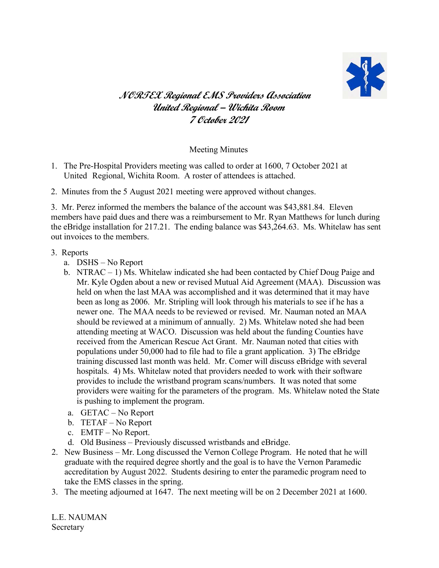

## **NORTEX Regional EMS Providers Association United Regional – Wichita Room 7 October 2021**

## Meeting Minutes

- 1. The Pre-Hospital Providers meeting was called to order at 1600, 7 October 2021 at United Regional, Wichita Room. A roster of attendees is attached.
- 2. Minutes from the 5 August 2021 meeting were approved without changes.

3. Mr. Perez informed the members the balance of the account was \$43,881.84. Eleven members have paid dues and there was a reimbursement to Mr. Ryan Matthews for lunch during the eBridge installation for 217.21. The ending balance was \$43,264.63. Ms. Whitelaw has sent out invoices to the members.

## 3. Reports

- a. DSHS No Report
- b. NTRAC 1) Ms. Whitelaw indicated she had been contacted by Chief Doug Paige and Mr. Kyle Ogden about a new or revised Mutual Aid Agreement (MAA). Discussion was held on when the last MAA was accomplished and it was determined that it may have been as long as 2006. Mr. Stripling will look through his materials to see if he has a newer one. The MAA needs to be reviewed or revised. Mr. Nauman noted an MAA should be reviewed at a minimum of annually. 2) Ms. Whitelaw noted she had been attending meeting at WACO. Discussion was held about the funding Counties have received from the American Rescue Act Grant. Mr. Nauman noted that cities with populations under 50,000 had to file had to file a grant application. 3) The eBridge training discussed last month was held. Mr. Comer will discuss eBridge with several hospitals. 4) Ms. Whitelaw noted that providers needed to work with their software provides to include the wristband program scans/numbers. It was noted that some providers were waiting for the parameters of the program. Ms. Whitelaw noted the State is pushing to implement the program.
- a. GETAC No Report
- b. TETAF No Report
- c. EMTF No Report.
- d. Old Business Previously discussed wristbands and eBridge.
- 2. New Business Mr. Long discussed the Vernon College Program. He noted that he will graduate with the required degree shortly and the goal is to have the Vernon Paramedic accreditation by August 2022. Students desiring to enter the paramedic program need to take the EMS classes in the spring.
- 3. The meeting adjourned at 1647. The next meeting will be on 2 December 2021 at 1600.

L.E. NAUMAN Secretary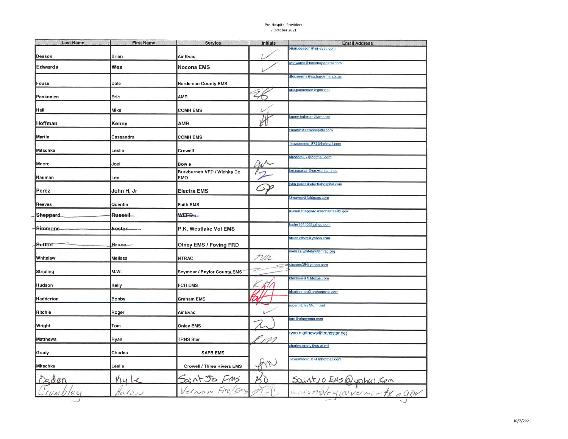## Pre-Hospital Providers 7 October 2021

| <b>Last Name</b> | <b>First Name</b>    | <b>Service</b>                             | Initials | <b>Email Address</b>                                   |
|------------------|----------------------|--------------------------------------------|----------|--------------------------------------------------------|
| Deason           | <b>Brian</b>         | Air Evac                                   |          | brian.deason@air-evac.com                              |
| <b>Edwards</b>   | Wes                  | <b>Nocona EMS</b>                          |          | wedwards@noconageneral.com                             |
| Fouse            | Dale                 | <b>Hardeman County EMS</b>                 |          | dfouseems@co.hardeman.tx.us                            |
| Pankonien        | Eric                 | <b>AMR</b>                                 |          | eric.pankonien@gmr.net                                 |
| Hall             | Mike                 | <b>CCMH EMS</b>                            |          |                                                        |
| Hoffman          | Kenny                | AMR                                        |          | kenny.hoffman@amr.net                                  |
| Martin           | Cassandra            | <b>CCMH EMS</b>                            |          | cmartin@ccmhospital.com                                |
| <b>Mitschke</b>  | Leslie               | Crowell                                    |          | Texasmedic 874@hotmail.com                             |
| Moore            | Joel                 | <b>Bowie</b>                               |          | birddog907@hotmail.com                                 |
| Nauman           | Len                  | Burkburnett VFD / Wichita Co<br><b>EMO</b> |          | len.nauman@co.wichita.tx.us                            |
| Perez            | John H, Jr           | <b>Electra EMS</b>                         | ⊃.       | john.perez@electrahospital.com                         |
| <b>Reeves</b>    | Quentin              | <b>Faith EMS</b>                           |          | Qreaves@fchtexas.com                                   |
| Sheppard.        | Russell <sub>m</sub> | WEFB-                                      |          | russell.sheppard@wichitafallstx.gov                    |
| Simmons.         | Eoster.              | P.K. Westlake Vol EMS                      |          | foster76450@yahoo.com                                  |
| Sutton           | Bruce-               | <b>Olney EMS / Foving FRD</b>              |          | bruce.olney@yahoo.com                                  |
| Whitelaw         | Melissa              | <b>NTRAC</b>                               | Ma       | melissa.whitelaw@ntrac.org                             |
| Stripling        | M.W.                 | Seymour / Baylor County EMS                |          | sbcems38@yahoo.com                                     |
| Hudson           | Kelly                | <b>FCH EMS</b>                             |          | khudson@fchtexas.com                                   |
| Hadderton        | <b>Bobby</b>         | <b>Graham EMS</b>                          |          | bhadderton@grahamrmc.com                               |
| Ritchie          | Roger                | Air Evac                                   |          | roger.ritchie@gmr.net                                  |
| Wright           | Tom                  | <b>Onley EMS</b>                           |          | tom@olneyems.com                                       |
| <b>Matthews</b>  | Ryan                 | <b>TRNS Star</b>                           |          | ryan.matthews@transstar.net<br>charles.grady@us.af.mil |
| Grady            | Charles              | <b>SAFB EMS</b>                            |          |                                                        |
| <b>Mitschke</b>  | Leslie               | <b>Crowell / Three Rivers EMS</b>          |          | Texasmedic 874@hotmail.com                             |
|                  | hy                   | Saint Jo FMS                               | 30       | Sociatio EMS@yoha, com                                 |
| ey<br>UMU        | $tan\theta v$        | Vernon Fire/Ems                            |          |                                                        |